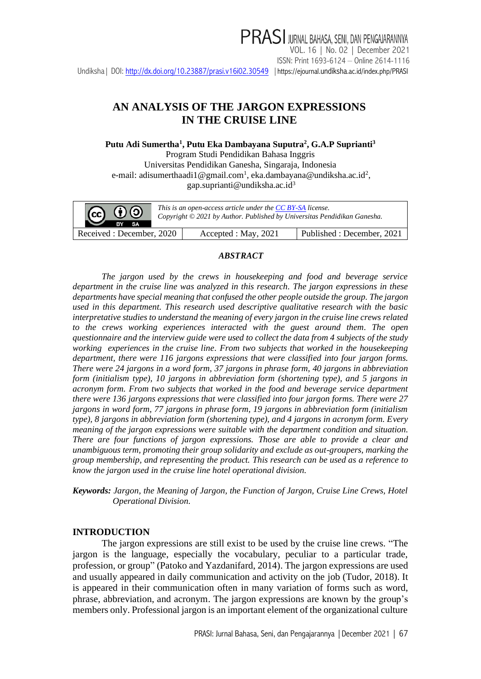### **AN ANALYSIS OF THE JARGON EXPRESSIONS IN THE CRUISE LINE**

**Putu Adi Sumertha<sup>1</sup> , Putu Eka Dambayana Suputra<sup>2</sup> , G.A.P Suprianti<sup>3</sup>**

Program Studi Pendidikan Bahasa Inggris Universitas Pendidikan Ganesha, Singaraja, Indonesia e-mail: [adisumerthaadi1@gmail.com](mailto:adisumerthaadi1@gmail.com1)<sup>1</sup>, [eka.dambayana@undiksha.ac.id](mailto:eka.dambayana@undiksha.ac.id2)<sup>2</sup>, gap.suprianti@un[d](mailto:w_suarna@yahoo.com3)iksha.ac.id<sup>3</sup>



### *ABSTRACT*

*The jargon used by the crews in housekeeping and food and beverage service department in the cruise line was analyzed in this research. The jargon expressions in these departments have special meaning that confused the other people outside the group. The jargon used in this department. This research used descriptive qualitative research with the basic interpretative studies to understand the meaning of every jargon in the cruise line crews related to the crews working experiences interacted with the guest around them. The open questionnaire and the interview guide were used to collect the data from 4 subjects of the study working experiences in the cruise line. From two subjects that worked in the housekeeping department, there were 116 jargons expressions that were classified into four jargon forms. There were 24 jargons in a word form, 37 jargons in phrase form, 40 jargons in abbreviation form (initialism type), 10 jargons in abbreviation form (shortening type), and 5 jargons in acronym form. From two subjects that worked in the food and beverage service department there were 136 jargons expressions that were classified into four jargon forms. There were 27 jargons in word form, 77 jargons in phrase form, 19 jargons in abbreviation form (initialism type), 8 jargons in abbreviation form (shortening type), and 4 jargons in acronym form. Every meaning of the jargon expressions were suitable with the department condition and situation. There are four functions of jargon expressions. Those are able to provide a clear and unambiguous term, promoting their group solidarity and exclude as out-groupers, marking the group membership, and representing the product. This research can be used as a reference to know the jargon used in the cruise line hotel operational division.*

*Keywords: Jargon, the Meaning of Jargon, the Function of Jargon, Cruise Line Crews, Hotel Operational Division.*

#### **INTRODUCTION**

The jargon expressions are still exist to be used by the cruise line crews. "The jargon is the language, especially the vocabulary, peculiar to a particular trade, profession, or group" (Patoko and Yazdanifard, 2014). The jargon expressions are used and usually appeared in daily communication and activity on the job (Tudor, 2018). It is appeared in their communication often in many variation of forms such as word, phrase, abbreviation, and acronym. The jargon expressions are known by the group's members only. Professional jargon is an important element of the organizational culture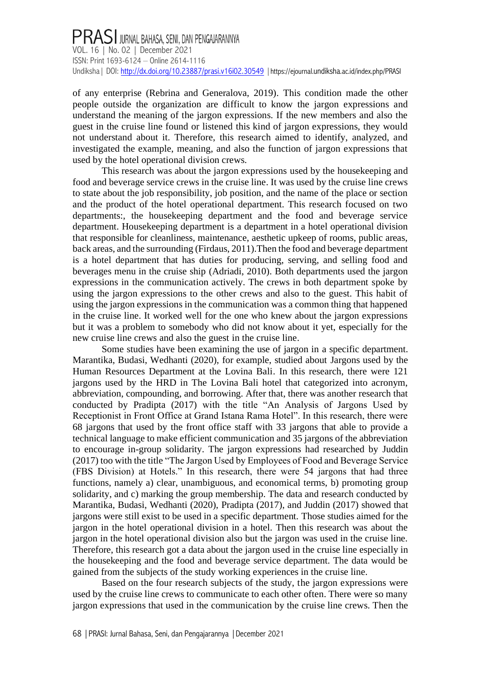of any enterprise (Rebrina and Generalova, 2019). This condition made the other people outside the organization are difficult to know the jargon expressions and understand the meaning of the jargon expressions. If the new members and also the guest in the cruise line found or listened this kind of jargon expressions, they would not understand about it. Therefore, this research aimed to identify, analyzed, and investigated the example, meaning, and also the function of jargon expressions that used by the hotel operational division crews.

This research was about the jargon expressions used by the housekeeping and food and beverage service crews in the cruise line. It was used by the cruise line crews to state about the job responsibility, job position, and the name of the place or section and the product of the hotel operational department. This research focused on two departments:, the housekeeping department and the food and beverage service department. Housekeeping department is a department in a hotel operational division that responsible for cleanliness, maintenance, aesthetic upkeep of rooms, public areas, back areas, and the surrounding (Firdaus, 2011).Then the food and beverage department is a hotel department that has duties for producing, serving, and selling food and beverages menu in the cruise ship (Adriadi, 2010). Both departments used the jargon expressions in the communication actively. The crews in both department spoke by using the jargon expressions to the other crews and also to the guest. This habit of using the jargon expressions in the communication was a common thing that happened in the cruise line. It worked well for the one who knew about the jargon expressions but it was a problem to somebody who did not know about it yet, especially for the new cruise line crews and also the guest in the cruise line.

Some studies have been examining the use of jargon in a specific department. Marantika, Budasi, Wedhanti (2020), for example, studied about Jargons used by the Human Resources Department at the Lovina Bali. In this research, there were 121 jargons used by the HRD in The Lovina Bali hotel that categorized into acronym, abbreviation, compounding, and borrowing. After that, there was another research that conducted by Pradipta (2017) with the title "An Analysis of Jargons Used by Receptionist in Front Office at Grand Istana Rama Hotel". In this research, there were 68 jargons that used by the front office staff with 33 jargons that able to provide a technical language to make efficient communication and 35 jargons of the abbreviation to encourage in-group solidarity. The jargon expressions had researched by Juddin (2017) too with the title "The Jargon Used by Employees of Food and Beverage Service (FBS Division) at Hotels." In this research, there were 54 jargons that had three functions, namely a) clear, unambiguous, and economical terms, b) promoting group solidarity, and c) marking the group membership. The data and research conducted by Marantika, Budasi, Wedhanti (2020), Pradipta (2017), and Juddin (2017) showed that jargons were still exist to be used in a specific department. Those studies aimed for the jargon in the hotel operational division in a hotel. Then this research was about the jargon in the hotel operational division also but the jargon was used in the cruise line. Therefore, this research got a data about the jargon used in the cruise line especially in the housekeeping and the food and beverage service department. The data would be gained from the subjects of the study working experiences in the cruise line.

Based on the four research subjects of the study, the jargon expressions were used by the cruise line crews to communicate to each other often. There were so many jargon expressions that used in the communication by the cruise line crews. Then the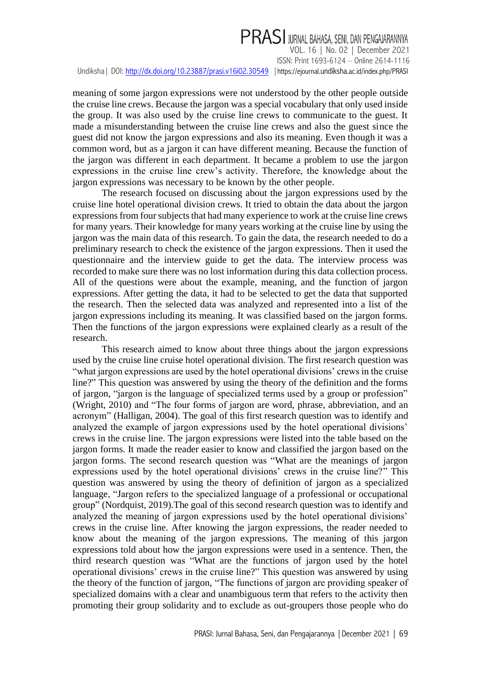# PRASI JURNAL BAHASA, SENI, DAN PENGAJARANNYA

VOL. 16 | No. 02 | December 2021 ISSN: Print 1693-6124 – Online 2614-1116 Undiksha | DOI[: http://dx.doi.org/10.23887/prasi.v16i02.30549](http://dx.doi.org/10.23887/prasi.v16i02.30549) | https://ejournal.undiksha[.ac.id/index.php/PRASI](https://ejournal.undiksha.ac.id/index.php/PRASI)

meaning of some jargon expressions were not understood by the other people outside the cruise line crews. Because the jargon was a special vocabulary that only used inside the group. It was also used by the cruise line crews to communicate to the guest. It made a misunderstanding between the cruise line crews and also the guest since the guest did not know the jargon expressions and also its meaning. Even though it was a common word, but as a jargon it can have different meaning. Because the function of the jargon was different in each department. It became a problem to use the jargon expressions in the cruise line crew's activity. Therefore, the knowledge about the jargon expressions was necessary to be known by the other people.

The research focused on discussing about the jargon expressions used by the cruise line hotel operational division crews. It tried to obtain the data about the jargon expressions from four subjects that had many experience to work at the cruise line crews for many years. Their knowledge for many years working at the cruise line by using the jargon was the main data of this research. To gain the data, the research needed to do a preliminary research to check the existence of the jargon expressions. Then it used the questionnaire and the interview guide to get the data. The interview process was recorded to make sure there was no lost information during this data collection process. All of the questions were about the example, meaning, and the function of jargon expressions. After getting the data, it had to be selected to get the data that supported the research. Then the selected data was analyzed and represented into a list of the jargon expressions including its meaning. It was classified based on the jargon forms. Then the functions of the jargon expressions were explained clearly as a result of the research.

This research aimed to know about three things about the jargon expressions used by the cruise line cruise hotel operational division. The first research question was "what jargon expressions are used by the hotel operational divisions' crews in the cruise line?" This question was answered by using the theory of the definition and the forms of jargon, "jargon is the language of specialized terms used by a group or profession" (Wright, 2010) and "The four forms of jargon are word, phrase, abbreviation, and an acronym" (Halligan, 2004). The goal of this first research question was to identify and analyzed the example of jargon expressions used by the hotel operational divisions' crews in the cruise line. The jargon expressions were listed into the table based on the jargon forms. It made the reader easier to know and classified the jargon based on the jargon forms. The second research question was "What are the meanings of jargon expressions used by the hotel operational divisions' crews in the cruise line?" This question was answered by using the theory of definition of jargon as a specialized language, "Jargon refers to the specialized [language](https://www.thoughtco.com/what-is-a-language-1691218) of a professional or occupational group" (Nordquist, 2019).The goal of this second research question was to identify and analyzed the meaning of jargon expressions used by the hotel operational divisions' crews in the cruise line. After knowing the jargon expressions, the reader needed to know about the meaning of the jargon expressions. The meaning of this jargon expressions told about how the jargon expressions were used in a sentence. Then, the third research question was "What are the functions of jargon used by the hotel operational divisions' crews in the cruise line?" This question was answered by using the theory of the function of jargon, "The functions of jargon are providing speaker of specialized domains with a clear and unambiguous term that refers to the activity then promoting their group solidarity and to exclude as out-groupers those people who do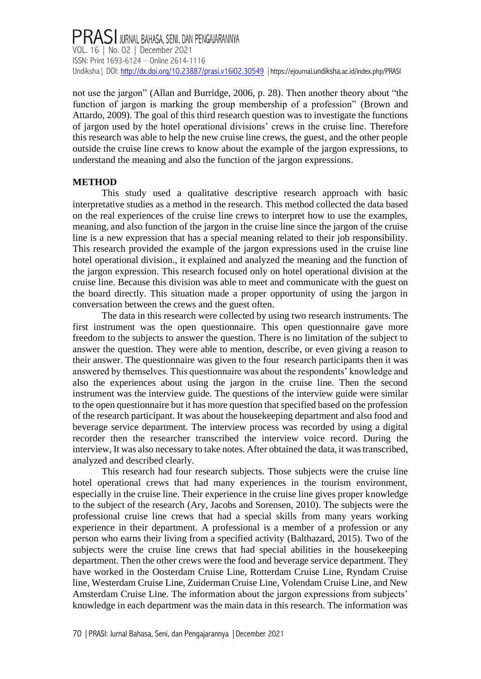not use the jargon" (Allan and Burridge, 2006, p. 28). Then another theory about "the function of jargon is marking the group membership of a profession" (Brown and Attardo, 2009). The goal of this third research question was to investigate the functions of jargon used by the hotel operational divisions' crews in the cruise line. Therefore this research was able to help the new cruise line crews, the guest, and the other people outside the cruise line crews to know about the example of the jargon expressions, to understand the meaning and also the function of the jargon expressions.

### **METHOD**

This study used a qualitative descriptive research approach with basic interpretative studies as a method in the research. This method collected the data based on the real experiences of the cruise line crews to interpret how to use the examples, meaning, and also function of the jargon in the cruise line since the jargon of the cruise line is a new expression that has a special meaning related to their job responsibility. This research provided the example of the jargon expressions used in the cruise line hotel operational division., it explained and analyzed the meaning and the function of the jargon expression. This research focused only on hotel operational division at the cruise line. Because this division was able to meet and communicate with the guest on the board directly. This situation made a proper opportunity of using the jargon in conversation between the crews and the guest often.

The data in this research were collected by using two research instruments. The first instrument was the open questionnaire. This open questionnaire gave more freedom to the subjects to answer the question. There is no limitation of the subject to answer the question. They were able to mention, describe, or even giving a reason to their answer. The questionnaire was given to the four research participants then it was answered by themselves. This questionnaire was about the respondents' knowledge and also the experiences about using the jargon in the cruise line. Then the second instrument was the interview guide. The questions of the interview guide were similar to the open questionnaire but it has more question that specified based on the profession of the research participant. It was about the housekeeping department and also food and beverage service department. The interview process was recorded by using a digital recorder then the researcher transcribed the interview voice record. During the interview, It was also necessary to take notes. After obtained the data, it was transcribed, analyzed and described clearly.

This research had four research subjects. Those subjects were the cruise line hotel operational crews that had many experiences in the tourism environment, especially in the cruise line. Their experience in the cruise line gives proper knowledge to the subject of the research (Ary, Jacobs and Sorensen, 2010). The subjects were the professional cruise line crews that had a special skills from many years working experience in their department. A professional is a member of a profession or any person who earns their living from a specified activity (Balthazard, 2015). Two of the subjects were the cruise line crews that had special abilities in the housekeeping department. Then the other crews were the food and beverage service department. They have worked in the Oosterdam Cruise Line, Rotterdam Cruise Line, Ryndam Cruise line, Westerdam Cruise Line, Zuiderman Cruise Line, Volendam Cruise Line, and New Amsterdam Cruise Line. The information about the jargon expressions from subjects' knowledge in each department was the main data in this research. The information was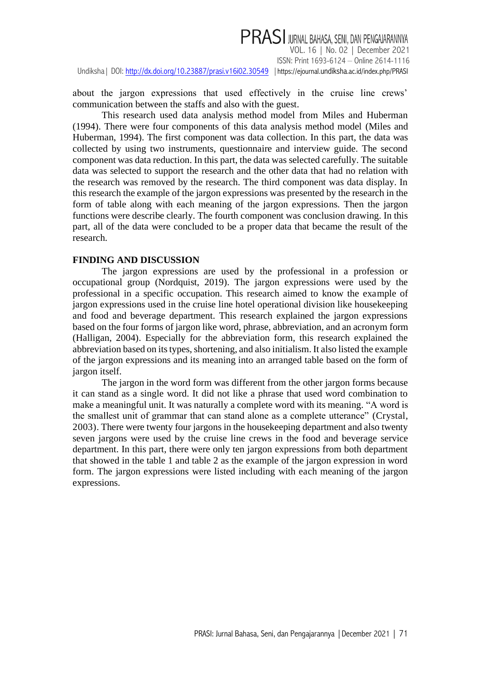# PRASI JURNAL BAHASA, SENI, DAN PENGAJARANNYA

VOL. 16 | No. 02 | December 2021 ISSN: Print 1693-6124 – Online 2614-1116 Undiksha | DOI[: http://dx.doi.org/10.23887/prasi.v16i02.30549](http://dx.doi.org/10.23887/prasi.v16i02.30549) | https://ejournal.undiksha[.ac.id/index.php/PRASI](https://ejournal.undiksha.ac.id/index.php/PRASI)

about the jargon expressions that used effectively in the cruise line crews' communication between the staffs and also with the guest.

This research used data analysis method model from Miles and Huberman (1994). There were four components of this data analysis method model (Miles and Huberman, 1994). The first component was data collection. In this part, the data was collected by using two instruments, questionnaire and interview guide. The second component was data reduction. In this part, the data was selected carefully. The suitable data was selected to support the research and the other data that had no relation with the research was removed by the research. The third component was data display. In this research the example of the jargon expressions was presented by the research in the form of table along with each meaning of the jargon expressions. Then the jargon functions were describe clearly. The fourth component was conclusion drawing. In this part, all of the data were concluded to be a proper data that became the result of the research.

#### **FINDING AND DISCUSSION**

The jargon expressions are used by the professional in a profession or occupational group (Nordquist, 2019). The jargon expressions were used by the professional in a specific occupation. This research aimed to know the example of jargon expressions used in the cruise line hotel operational division like housekeeping and food and beverage department. This research explained the jargon expressions based on the four forms of jargon like word, phrase, abbreviation, and an acronym form (Halligan, 2004). Especially for the abbreviation form, this research explained the abbreviation based on its types, shortening, and also initialism. It also listed the example of the jargon expressions and its meaning into an arranged table based on the form of jargon itself.

The jargon in the word form was different from the other jargon forms because it can stand as a single word. It did not like a phrase that used word combination to make a meaningful unit. It was naturally a complete word with its meaning. "A word is the smallest unit of grammar that can stand alone as a complete utterance" (Crystal, 2003). There were twenty four jargons in the housekeeping department and also twenty seven jargons were used by the cruise line crews in the food and beverage service department. In this part, there were only ten jargon expressions from both department that showed in the table 1 and table 2 as the example of the jargon expression in word form. The jargon expressions were listed including with each meaning of the jargon expressions.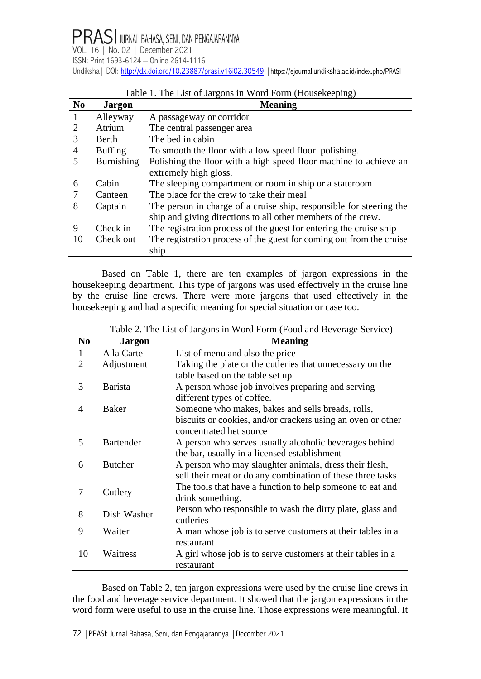| N <sub>0</sub> | <b>Jargon</b>  | <b>Meaning</b>                                                       |
|----------------|----------------|----------------------------------------------------------------------|
|                | Alleyway       | A passageway or corridor                                             |
| 2              | Atrium         | The central passenger area                                           |
|                | <b>Berth</b>   | The bed in cabin                                                     |
| 4              | <b>Buffing</b> | To smooth the floor with a low speed floor polishing.                |
|                | Burnishing     | Polishing the floor with a high speed floor machine to achieve an    |
|                |                | extremely high gloss.                                                |
| 6              | Cabin          | The sleeping compartment or room in ship or a stateroom              |
|                | Canteen        | The place for the crew to take their meal                            |
| 8              | Captain        | The person in charge of a cruise ship, responsible for steering the  |
|                |                | ship and giving directions to all other members of the crew.         |
| 9              | Check in       | The registration process of the guest for entering the cruise ship   |
| 10             | Check out      | The registration process of the guest for coming out from the cruise |
|                |                | ship                                                                 |

### Table 1. The List of Jargons in Word Form (Housekeeping)

Based on Table 1, there are ten examples of jargon expressions in the housekeeping department. This type of jargons was used effectively in the cruise line by the cruise line crews. There were more jargons that used effectively in the housekeeping and had a specific meaning for special situation or case too.

| N <sub>0</sub> | <b>Jargon</b>    | <b>Meaning</b>                                              |
|----------------|------------------|-------------------------------------------------------------|
| 1              | A la Carte       | List of menu and also the price                             |
| 2              | Adjustment       | Taking the plate or the cutleries that unnecessary on the   |
|                |                  | table based on the table set up                             |
| 3              | <b>Barista</b>   | A person whose job involves preparing and serving           |
|                |                  | different types of coffee.                                  |
| 4              | Baker            | Someone who makes, bakes and sells breads, rolls,           |
|                |                  | biscuits or cookies, and/or crackers using an oven or other |
|                |                  | concentrated het source                                     |
| 5              | <b>Bartender</b> | A person who serves usually alcoholic beverages behind      |
|                |                  | the bar, usually in a licensed establishment                |
| 6              | <b>Butcher</b>   | A person who may slaughter animals, dress their flesh,      |
|                |                  | sell their meat or do any combination of these three tasks  |
| 7              | Cutlery          | The tools that have a function to help someone to eat and   |
|                |                  | drink something.                                            |
| 8              | Dish Washer      | Person who responsible to wash the dirty plate, glass and   |
|                |                  | cutleries                                                   |
| 9              | Waiter           | A man whose job is to serve customers at their tables in a  |
|                |                  | restaurant                                                  |
| 10             | Waitress         | A girl whose job is to serve customers at their tables in a |
|                |                  | restaurant                                                  |

Table 2. The List of Jargons in Word Form (Food and Beverage Service)

Based on Table 2, ten jargon expressions were used by the cruise line crews in the food and beverage service department. It showed that the jargon expressions in the word form were useful to use in the cruise line. Those expressions were meaningful. It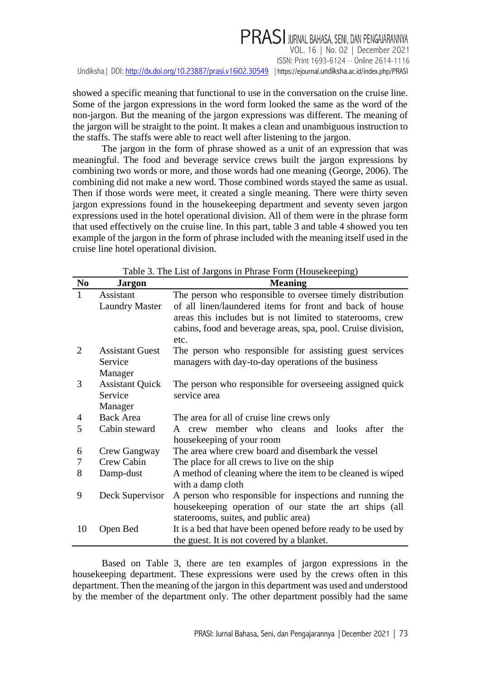showed a specific meaning that functional to use in the conversation on the cruise line. Some of the jargon expressions in the word form looked the same as the word of the non-jargon. But the meaning of the jargon expressions was different. The meaning of the jargon will be straight to the point. It makes a clean and unambiguous instruction to the staffs. The staffs were able to react well after listening to the jargon.

The jargon in the form of phrase showed as a unit of an expression that was meaningful. The food and beverage service crews built the jargon expressions by combining two words or more, and those words had one meaning (George, 2006). The combining did not make a new word. Those combined words stayed the same as usual. Then if those words were meet, it created a single meaning. There were thirty seven jargon expressions found in the housekeeping department and seventy seven jargon expressions used in the hotel operational division. All of them were in the phrase form that used effectively on the cruise line. In this part, table 3 and table 4 showed you ten example of the jargon in the form of phrase included with the meaning itself used in the cruise line hotel operational division.

| N <sub>0</sub> | <b>Jargon</b>          | <b>Meaning</b>                                                                                                                     |
|----------------|------------------------|------------------------------------------------------------------------------------------------------------------------------------|
| 1              | Assistant              | The person who responsible to oversee timely distribution                                                                          |
|                | <b>Laundry Master</b>  | of all linen/laundered items for front and back of house                                                                           |
|                |                        | areas this includes but is not limited to staterooms, crew<br>cabins, food and beverage areas, spa, pool. Cruise division,<br>etc. |
| 2              | <b>Assistant Guest</b> | The person who responsible for assisting guest services                                                                            |
|                | Service                | managers with day-to-day operations of the business                                                                                |
|                | Manager                |                                                                                                                                    |
| 3              | <b>Assistant Quick</b> | The person who responsible for overseeing assigned quick                                                                           |
|                | Service                | service area                                                                                                                       |
|                | Manager                |                                                                                                                                    |
| 4              | <b>Back Area</b>       | The area for all of cruise line crews only                                                                                         |
| 5              | Cabin steward          | A crew member who cleans and looks after<br>the                                                                                    |
|                |                        | housekeeping of your room                                                                                                          |
| 6              | Crew Gangway           | The area where crew board and disembark the vessel                                                                                 |
| 7              | Crew Cabin             | The place for all crews to live on the ship                                                                                        |
| 8              | Damp-dust              | A method of cleaning where the item to be cleaned is wiped                                                                         |
|                |                        | with a damp cloth                                                                                                                  |
| 9              | Deck Supervisor        | A person who responsible for inspections and running the                                                                           |
|                |                        | house keeping operation of our state the art ships (all                                                                            |
|                |                        | staterooms, suites, and public area)                                                                                               |
| 10             | Open Bed               | It is a bed that have been opened before ready to be used by                                                                       |
|                |                        | the guest. It is not covered by a blanket.                                                                                         |

Table 3. The List of Jargons in Phrase Form (Housekeeping)

Based on Table 3, there are ten examples of jargon expressions in the housekeeping department. These expressions were used by the crews often in this department. Then the meaning of the jargon in this department was used and understood by the member of the department only. The other department possibly had the same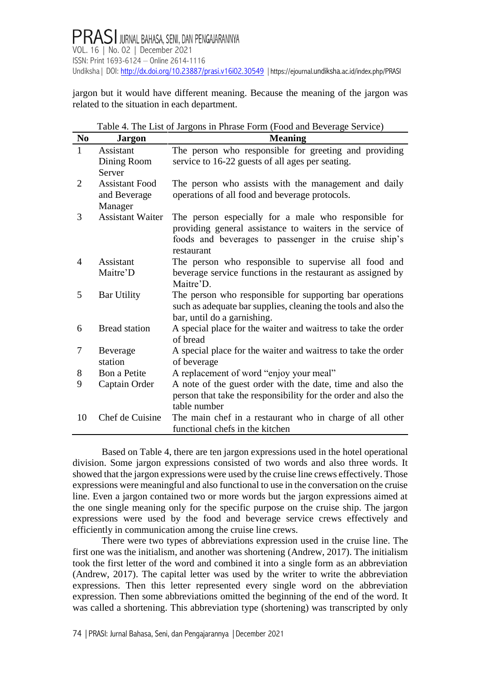jargon but it would have different meaning. Because the meaning of the jargon was related to the situation in each department.

Table 4. The List of Jargons in Phrase Form (Food and Beverage Service)

| $\bf No$     | <b>Jargon</b>           | <b>Meaning</b>                                                           |
|--------------|-------------------------|--------------------------------------------------------------------------|
| $\mathbf{1}$ | Assistant               | The person who responsible for greeting and providing                    |
|              | Dining Room             | service to 16-22 guests of all ages per seating.                         |
|              | Server                  |                                                                          |
| 2            | <b>Assistant Food</b>   | The person who assists with the management and daily                     |
|              | and Beverage            | operations of all food and beverage protocols.                           |
|              | Manager                 |                                                                          |
| 3            | <b>Assistant Waiter</b> | The person especially for a male who responsible for                     |
|              |                         | providing general assistance to waiters in the service of                |
|              |                         | foods and beverages to passenger in the cruise ship's                    |
|              | Assistant               | restaurant                                                               |
| 4            | Maitre'D                | The person who responsible to supervise all food and                     |
|              |                         | beverage service functions in the restaurant as assigned by<br>Maitre'D. |
| 5            | <b>Bar Utility</b>      | The person who responsible for supporting bar operations                 |
|              |                         | such as adequate bar supplies, cleaning the tools and also the           |
|              |                         | bar, until do a garnishing.                                              |
| 6            | <b>Bread</b> station    | A special place for the waiter and waitress to take the order            |
|              |                         | of bread                                                                 |
| 7            | Beverage                | A special place for the waiter and waitress to take the order            |
|              | station                 | of beverage                                                              |
| 8            | Bon a Petite            | A replacement of word "enjoy your meal"                                  |
| 9            | Captain Order           | A note of the guest order with the date, time and also the               |
|              |                         | person that take the responsibility for the order and also the           |
|              |                         | table number                                                             |
| 10           | Chef de Cuisine         | The main chef in a restaurant who in charge of all other                 |
|              |                         | functional chefs in the kitchen                                          |

Based on Table 4, there are ten jargon expressions used in the hotel operational division. Some jargon expressions consisted of two words and also three words. It showed that the jargon expressions were used by the cruise line crews effectively. Those expressions were meaningful and also functional to use in the conversation on the cruise line. Even a jargon contained two or more words but the jargon expressions aimed at the one single meaning only for the specific purpose on the cruise ship. The jargon expressions were used by the food and beverage service crews effectively and efficiently in communication among the cruise line crews.

There were two types of abbreviations expression used in the cruise line. The first one was the initialism, and another was shortening (Andrew, 2017). The initialism took the first letter of the word and combined it into a single form as an abbreviation (Andrew, 2017). The capital letter was used by the writer to write the abbreviation expressions. Then this letter represented every single word on the abbreviation expression. Then some abbreviations omitted the beginning of the end of the word. It was called a shortening. This abbreviation type (shortening) was transcripted by only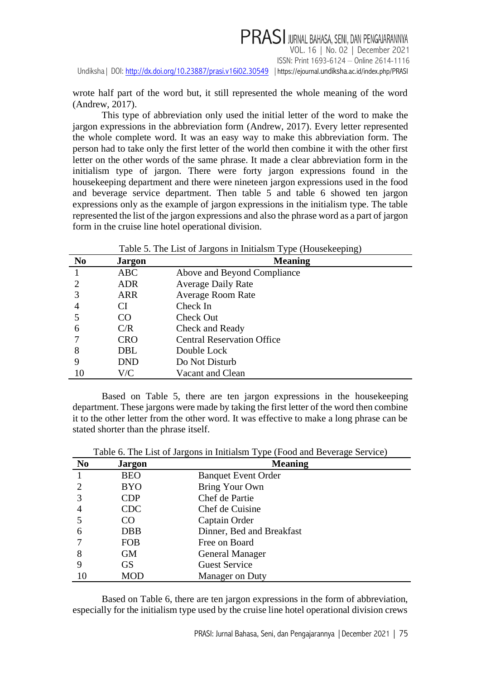wrote half part of the word but, it still represented the whole meaning of the word (Andrew, 2017).

This type of abbreviation only used the initial letter of the word to make the jargon expressions in the abbreviation form (Andrew, 2017). Every letter represented the whole complete word. It was an easy way to make this abbreviation form. The person had to take only the first letter of the world then combine it with the other first letter on the other words of the same phrase. It made a clear abbreviation form in the initialism type of jargon. There were forty jargon expressions found in the housekeeping department and there were nineteen jargon expressions used in the food and beverage service department. Then table 5 and table 6 showed ten jargon expressions only as the example of jargon expressions in the initialism type. The table represented the list of the jargon expressions and also the phrase word as a part of jargon form in the cruise line hotel operational division.

| N <sub>0</sub> | <b>Jargon</b> | <b>Meaning</b>                    |  |
|----------------|---------------|-----------------------------------|--|
|                | <b>ABC</b>    | Above and Beyond Compliance       |  |
|                | <b>ADR</b>    | <b>Average Daily Rate</b>         |  |
| 3              | <b>ARR</b>    | <b>Average Room Rate</b>          |  |
| 4              | CI            | Check In                          |  |
|                | $\rm CO$      | Check Out                         |  |
| 6              | C/R           | Check and Ready                   |  |
|                | <b>CRO</b>    | <b>Central Reservation Office</b> |  |
| 8              | DBL           | Double Lock                       |  |
| 9              | <b>DND</b>    | Do Not Disturb                    |  |
| 10             | V/C           | Vacant and Clean                  |  |

Table 5. The List of Jargons in Initialsm Type (Housekeeping)

Based on Table 5, there are ten jargon expressions in the housekeeping department. These jargons were made by taking the first letter of the word then combine it to the other letter from the other word. It was effective to make a long phrase can be stated shorter than the phrase itself.

| N <sub>0</sub> | <b>Jargon</b> | <b>Meaning</b>             |
|----------------|---------------|----------------------------|
|                | <b>BEO</b>    | <b>Banquet Event Order</b> |
|                | <b>BYO</b>    | Bring Your Own             |
| 3              | CDP           | Chef de Partie             |
|                | <b>CDC</b>    | Chef de Cuisine            |
|                | CO            | Captain Order              |
| 6              | <b>DBB</b>    | Dinner, Bed and Breakfast  |
|                | <b>FOB</b>    | Free on Board              |
| 8              | <b>GM</b>     | <b>General Manager</b>     |
| 9              | <b>GS</b>     | <b>Guest Service</b>       |
| 10             | <b>MOD</b>    | <b>Manager on Duty</b>     |

Table 6. The List of Jargons in Initialsm Type (Food and Beverage Service)

Based on Table 6, there are ten jargon expressions in the form of abbreviation, especially for the initialism type used by the cruise line hotel operational division crews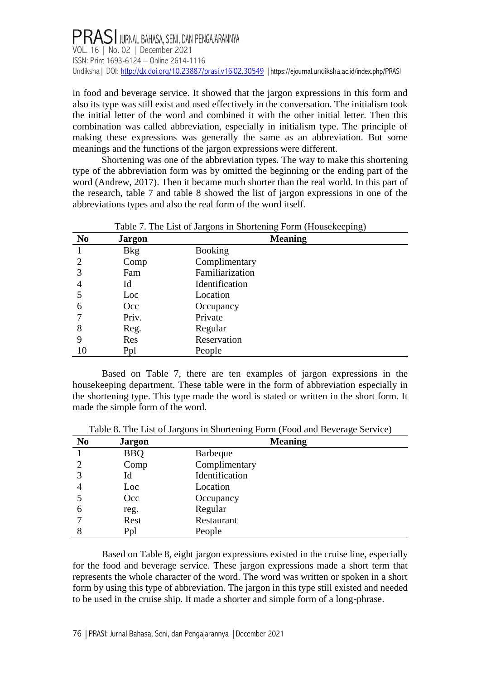in food and beverage service. It showed that the jargon expressions in this form and also its type was still exist and used effectively in the conversation. The initialism took the initial letter of the word and combined it with the other initial letter. Then this combination was called abbreviation, especially in initialism type. The principle of making these expressions was generally the same as an abbreviation. But some meanings and the functions of the jargon expressions were different.

Shortening was one of the abbreviation types. The way to make this shortening type of the abbreviation form was by omitted the beginning or the ending part of the word (Andrew, 2017). Then it became much shorter than the real world. In this part of the research, table 7 and table 8 showed the list of jargon expressions in one of the abbreviations types and also the real form of the word itself.

|                |               | Table 7. The List of Jargons in Shortening Form (Housekeeping) |  |
|----------------|---------------|----------------------------------------------------------------|--|
| N <sub>0</sub> | <b>Jargon</b> | <b>Meaning</b>                                                 |  |
|                | <b>Bkg</b>    | <b>Booking</b>                                                 |  |
|                | Comp          | Complimentary                                                  |  |
| 3              | Fam           | Familiarization                                                |  |
| 4              | Id            | Identification                                                 |  |
|                | Loc           | Location                                                       |  |
| 6              | Occ           | Occupancy                                                      |  |
|                | Priv.         | Private                                                        |  |
| 8              | Reg.          | Regular                                                        |  |
|                | Res           | Reservation                                                    |  |
| 10             | Ppl           | People                                                         |  |

Based on Table 7, there are ten examples of jargon expressions in the housekeeping department. These table were in the form of abbreviation especially in the shortening type. This type made the word is stated or written in the short form. It made the simple form of the word.

Table 8. The List of Jargons in Shortening Form (Food and Beverage Service)

| N <sub>0</sub> | <b>Jargon</b> | <b>Meaning</b>  |  |
|----------------|---------------|-----------------|--|
|                | <b>BBQ</b>    | <b>Barbeque</b> |  |
|                | Comp          | Complimentary   |  |
| 3              | Id            | Identification  |  |
|                | Loc           | Location        |  |
|                | Occ           | Occupancy       |  |
| 6              | reg.          | Regular         |  |
|                | Rest          | Restaurant      |  |
|                | Ppl           | People          |  |

Based on Table 8, eight jargon expressions existed in the cruise line, especially for the food and beverage service. These jargon expressions made a short term that represents the whole character of the word. The word was written or spoken in a short form by using this type of abbreviation. The jargon in this type still existed and needed to be used in the cruise ship. It made a shorter and simple form of a long-phrase.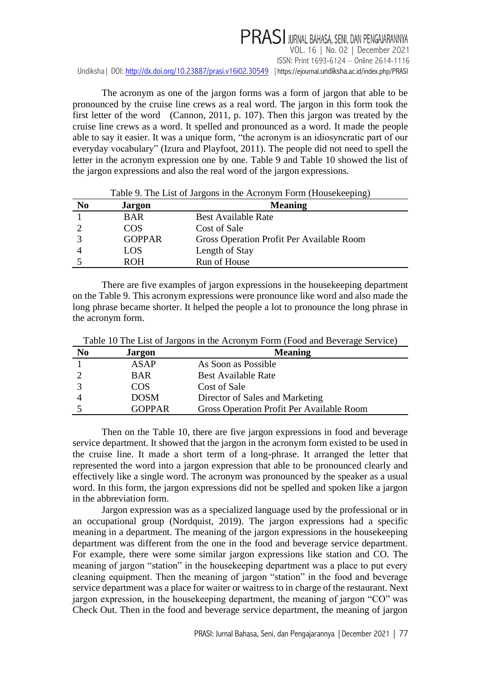The acronym as one of the jargon forms was a form of jargon that able to be pronounced by the cruise line crews as a real word. The jargon in this form took the first letter of the word (Cannon, 2011, p. 107). Then this jargon was treated by the cruise line crews as a word. It spelled and pronounced as a word. It made the people able to say it easier. It was a unique form, "the acronym is an idiosyncratic part of our everyday vocabulary" (Izura and Playfoot, 2011). The people did not need to spell the letter in the acronym expression one by one. Table 9 and Table 10 showed the list of the jargon expressions and also the real word of the jargon expressions.

|                |               | Table 9. The List of Jargons in the Actomyin Form (Housekeeping) |
|----------------|---------------|------------------------------------------------------------------|
| N <sub>0</sub> | <b>Jargon</b> | <b>Meaning</b>                                                   |
|                | <b>BAR</b>    | <b>Best Available Rate</b>                                       |
|                | COS           | Cost of Sale                                                     |
|                | <b>GOPPAR</b> | Gross Operation Profit Per Available Room                        |
|                | LOS           | Length of Stay                                                   |
|                | <b>ROH</b>    | Run of House                                                     |

Table 9. The List of Jargons in the Acronym Form (Housekeeping)

There are five examples of jargon expressions in the housekeeping department on the Table 9. This acronym expressions were pronounce like word and also made the long phrase became shorter. It helped the people a lot to pronounce the long phrase in the acronym form.

| N <sub>0</sub> | <b>Jargon</b> | <b>Meaning</b>                            |
|----------------|---------------|-------------------------------------------|
|                | <b>ASAP</b>   | As Soon as Possible                       |
|                | <b>BAR</b>    | <b>Best Available Rate</b>                |
|                | COS           | Cost of Sale                              |
|                | <b>DOSM</b>   | Director of Sales and Marketing           |
|                | <b>GOPPAR</b> | Gross Operation Profit Per Available Room |

Table 10 The List of Jargons in the Acronym Form (Food and Beverage Service)

Then on the Table 10, there are five jargon expressions in food and beverage service department. It showed that the jargon in the acronym form existed to be used in the cruise line. It made a short term of a long-phrase. It arranged the letter that represented the word into a jargon expression that able to be pronounced clearly and effectively like a single word. The acronym was pronounced by the speaker as a usual word. In this form, the jargon expressions did not be spelled and spoken like a jargon in the abbreviation form.

Jargon expression was as a specialized language used by the professional or in an occupational group (Nordquist, 2019). The jargon expressions had a specific meaning in a department. The meaning of the jargon expressions in the housekeeping department was different from the one in the food and beverage service department. For example, there were some similar jargon expressions like station and CO. The meaning of jargon "station" in the housekeeping department was a place to put every cleaning equipment. Then the meaning of jargon "station" in the food and beverage service department was a place for waiter or waitress to in charge of the restaurant. Next jargon expression, in the housekeeping department, the meaning of jargon "CO" was Check Out. Then in the food and beverage service department, the meaning of jargon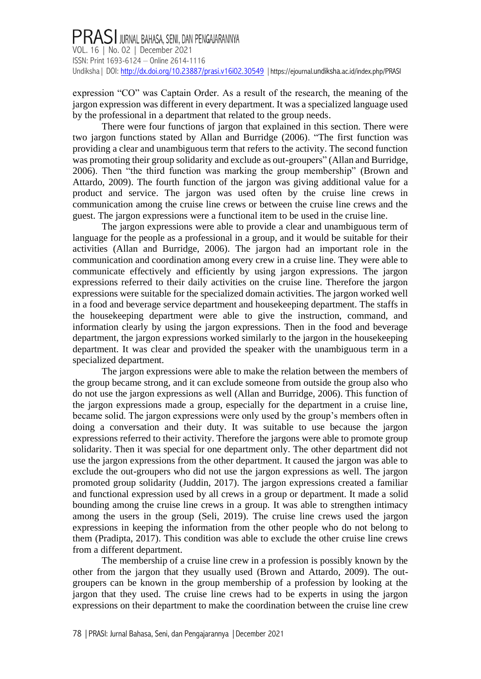expression "CO" was Captain Order. As a result of the research, the meaning of the jargon expression was different in every department. It was a specialized language used by the professional in a department that related to the group needs.

There were four functions of jargon that explained in this section. There were two jargon functions stated by Allan and Burridge (2006). "The first function was providing a clear and unambiguous term that refers to the activity. The second function was promoting their group solidarity and exclude as out-groupers" (Allan and Burridge, 2006). Then "the third function was marking the group membership" (Brown and Attardo, 2009). The fourth function of the jargon was giving additional value for a product and service. The jargon was used often by the cruise line crews in communication among the cruise line crews or between the cruise line crews and the guest. The jargon expressions were a functional item to be used in the cruise line.

The jargon expressions were able to provide a clear and unambiguous term of language for the people as a professional in a group, and it would be suitable for their activities (Allan and Burridge, 2006). The jargon had an important role in the communication and coordination among every crew in a cruise line. They were able to communicate effectively and efficiently by using jargon expressions. The jargon expressions referred to their daily activities on the cruise line. Therefore the jargon expressions were suitable for the specialized domain activities. The jargon worked well in a food and beverage service department and housekeeping department. The staffs in the housekeeping department were able to give the instruction, command, and information clearly by using the jargon expressions. Then in the food and beverage department, the jargon expressions worked similarly to the jargon in the housekeeping department. It was clear and provided the speaker with the unambiguous term in a specialized department.

The jargon expressions were able to make the relation between the members of the group became strong, and it can exclude someone from outside the group also who do not use the jargon expressions as well (Allan and Burridge, 2006). This function of the jargon expressions made a group, especially for the department in a cruise line, became solid. The jargon expressions were only used by the group's members often in doing a conversation and their duty. It was suitable to use because the jargon expressions referred to their activity. Therefore the jargons were able to promote group solidarity. Then it was special for one department only. The other department did not use the jargon expressions from the other department. It caused the jargon was able to exclude the out-groupers who did not use the jargon expressions as well. The jargon promoted group solidarity (Juddin, 2017). The jargon expressions created a familiar and functional expression used by all crews in a group or department. It made a solid bounding among the cruise line crews in a group. It was able to strengthen intimacy among the users in the group (Seli, 2019). The cruise line crews used the jargon expressions in keeping the information from the other people who do not belong to them (Pradipta, 2017). This condition was able to exclude the other cruise line crews from a different department.

The membership of a cruise line crew in a profession is possibly known by the other from the jargon that they usually used (Brown and Attardo, 2009). The outgroupers can be known in the group membership of a profession by looking at the jargon that they used. The cruise line crews had to be experts in using the jargon expressions on their department to make the coordination between the cruise line crew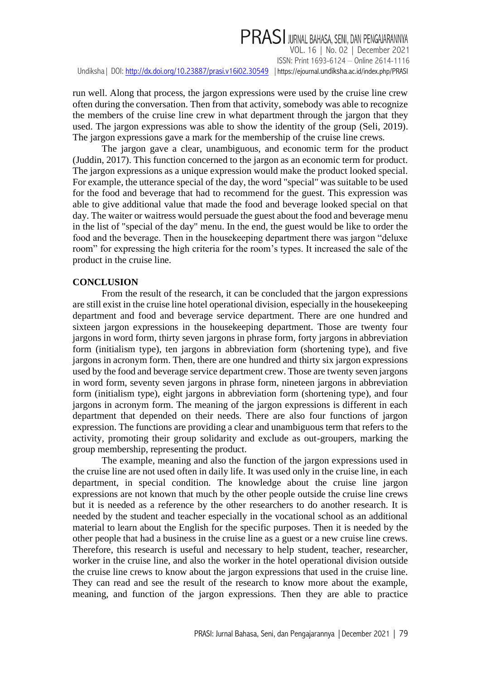run well. Along that process, the jargon expressions were used by the cruise line crew often during the conversation. Then from that activity, somebody was able to recognize the members of the cruise line crew in what department through the jargon that they used. The jargon expressions was able to show the identity of the group (Seli, 2019). The jargon expressions gave a mark for the membership of the cruise line crews.

The jargon gave a clear, unambiguous, and economic term for the product (Juddin, 2017). This function concerned to the jargon as an economic term for product. The jargon expressions as a unique expression would make the product looked special. For example, the utterance special of the day, the word "special" was suitable to be used for the food and beverage that had to recommend for the guest. This expression was able to give additional value that made the food and beverage looked special on that day. The waiter or waitress would persuade the guest about the food and beverage menu in the list of "special of the day" menu. In the end, the guest would be like to order the food and the beverage. Then in the housekeeping department there was jargon "deluxe room" for expressing the high criteria for the room's types. It increased the sale of the product in the cruise line.

### **CONCLUSION**

From the result of the research, it can be concluded that the jargon expressions are still exist in the cruise line hotel operational division, especially in the housekeeping department and food and beverage service department. There are one hundred and sixteen jargon expressions in the housekeeping department. Those are twenty four jargons in word form, thirty seven jargons in phrase form, forty jargons in abbreviation form (initialism type), ten jargons in abbreviation form (shortening type), and five jargons in acronym form. Then, there are one hundred and thirty six jargon expressions used by the food and beverage service department crew. Those are twenty seven jargons in word form, seventy seven jargons in phrase form, nineteen jargons in abbreviation form (initialism type), eight jargons in abbreviation form (shortening type), and four jargons in acronym form. The meaning of the jargon expressions is different in each department that depended on their needs. There are also four functions of jargon expression. The functions are providing a clear and unambiguous term that refers to the activity, promoting their group solidarity and exclude as out-groupers, marking the group membership, representing the product.

The example, meaning and also the function of the jargon expressions used in the cruise line are not used often in daily life. It was used only in the cruise line, in each department, in special condition. The knowledge about the cruise line jargon expressions are not known that much by the other people outside the cruise line crews but it is needed as a reference by the other researchers to do another research. It is needed by the student and teacher especially in the vocational school as an additional material to learn about the English for the specific purposes. Then it is needed by the other people that had a business in the cruise line as a guest or a new cruise line crews. Therefore, this research is useful and necessary to help student, teacher, researcher, worker in the cruise line, and also the worker in the hotel operational division outside the cruise line crews to know about the jargon expressions that used in the cruise line. They can read and see the result of the research to know more about the example, meaning, and function of the jargon expressions. Then they are able to practice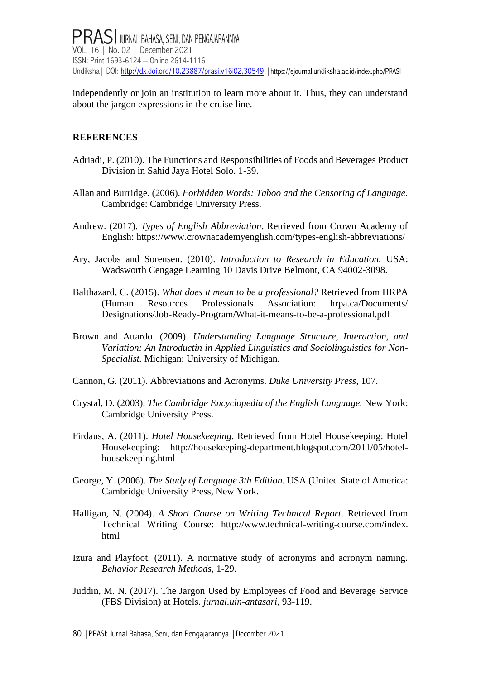independently or join an institution to learn more about it. Thus, they can understand about the jargon expressions in the cruise line.

### **REFERENCES**

- Adriadi, P. (2010). The Functions and Responsibilities of Foods and Beverages Product Division in Sahid Jaya Hotel Solo. 1-39.
- Allan and Burridge. (2006). *Forbidden Words: Taboo and the Censoring of Language.* Cambridge: Cambridge University Press.
- Andrew. (2017). *Types of English Abbreviation*. Retrieved from Crown Academy of English: https://www.crownacademyenglish.com/types-english-abbreviations/
- Ary, Jacobs and Sorensen. (2010). *Introduction to Research in Education.* USA: Wadsworth Cengage Learning 10 Davis Drive Belmont, CA 94002-3098.
- Balthazard, C. (2015). *What does it mean to be a professional?* Retrieved from HRPA (Human Resources Professionals Association: hrpa.ca/Documents/ Designations/Job-Ready-Program/What-it-means-to-be-a-professional.pdf
- Brown and Attardo. (2009). *Understanding Language Structure, Interaction, and Variation: An Introductin in Applied Linguistics and Sociolinguistics for Non-Specialist.* Michigan: University of Michigan.
- Cannon, G. (2011). Abbreviations and Acronyms. *Duke University Press*, 107.
- Crystal, D. (2003). *The Cambridge Encyclopedia of the English Language.* New York: Cambridge University Press.
- Firdaus, A. (2011). *Hotel Housekeeping*. Retrieved from Hotel Housekeeping: Hotel Housekeeping: http://housekeeping-department.blogspot.com/2011/05/hotelhousekeeping.html
- George, Y. (2006). *The Study of Language 3th Edition.* USA (United State of America: Cambridge University Press, New York.
- Halligan, N. (2004). *A Short Course on Writing Technical Report*. Retrieved from Technical Writing Course: http://www.technical-writing-course.com/index. html
- Izura and Playfoot. (2011). A normative study of acronyms and acronym naming. *Behavior Research Methods*, 1-29.
- Juddin, M. N. (2017). The Jargon Used by Employees of Food and Beverage Service (FBS Division) at Hotels. *jurnal.uin-antasari*, 93-119.